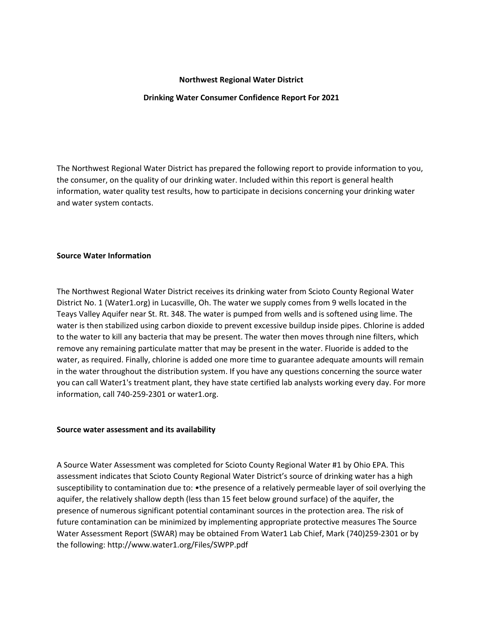# **Northwest Regional Water District**

# **Drinking Water Consumer Confidence Report For 2021**

The Northwest Regional Water District has prepared the following report to provide information to you, the consumer, on the quality of our drinking water. Included within this report is general health information, water quality test results, how to participate in decisions concerning your drinking water and water system contacts.

### **Source Water Information**

The Northwest Regional Water District receives its drinking water from Scioto County Regional Water District No. 1 (Water1.org) in Lucasville, Oh. The water we supply comes from 9 wells located in the Teays Valley Aquifer near St. Rt. 348. The water is pumped from wells and is softened using lime. The water is then stabilized using carbon dioxide to prevent excessive buildup inside pipes. Chlorine is added to the water to kill any bacteria that may be present. The water then moves through nine filters, which remove any remaining particulate matter that may be present in the water. Fluoride is added to the water, as required. Finally, chlorine is added one more time to guarantee adequate amounts will remain in the water throughout the distribution system. If you have any questions concerning the source water you can call Water1's treatment plant, they have state certified lab analysts working every day. For more information, call 740-259-2301 or water1.org.

### **Source water assessment and its availability**

A Source Water Assessment was completed for Scioto County Regional Water #1 by Ohio EPA. This assessment indicates that Scioto County Regional Water District's source of drinking water has a high susceptibility to contamination due to: •the presence of a relatively permeable layer of soil overlying the aquifer, the relatively shallow depth (less than 15 feet below ground surface) of the aquifer, the presence of numerous significant potential contaminant sources in the protection area. The risk of future contamination can be minimized by implementing appropriate protective measures The Source Water Assessment Report (SWAR) may be obtained From Water1 Lab Chief, Mark (740)259-2301 or by the following: http://www.water1.org/Files/SWPP.pdf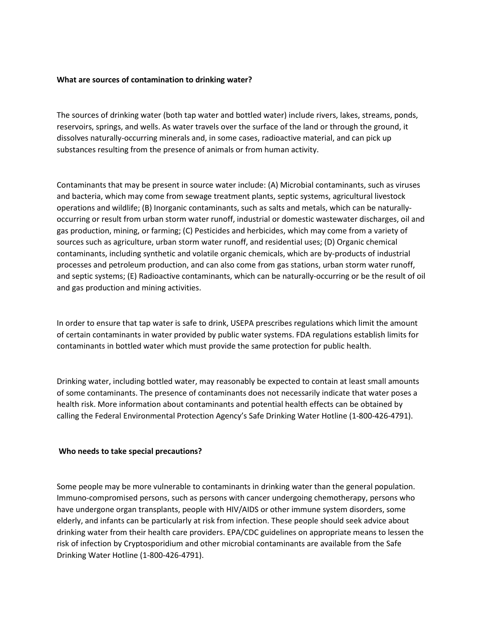# **What are sources of contamination to drinking water?**

The sources of drinking water (both tap water and bottled water) include rivers, lakes, streams, ponds, reservoirs, springs, and wells. As water travels over the surface of the land or through the ground, it dissolves naturally-occurring minerals and, in some cases, radioactive material, and can pick up substances resulting from the presence of animals or from human activity.

Contaminants that may be present in source water include: (A) Microbial contaminants, such as viruses and bacteria, which may come from sewage treatment plants, septic systems, agricultural livestock operations and wildlife; (B) Inorganic contaminants, such as salts and metals, which can be naturallyoccurring or result from urban storm water runoff, industrial or domestic wastewater discharges, oil and gas production, mining, or farming; (C) Pesticides and herbicides, which may come from a variety of sources such as agriculture, urban storm water runoff, and residential uses; (D) Organic chemical contaminants, including synthetic and volatile organic chemicals, which are by-products of industrial processes and petroleum production, and can also come from gas stations, urban storm water runoff, and septic systems; (E) Radioactive contaminants, which can be naturally-occurring or be the result of oil and gas production and mining activities.

In order to ensure that tap water is safe to drink, USEPA prescribes regulations which limit the amount of certain contaminants in water provided by public water systems. FDA regulations establish limits for contaminants in bottled water which must provide the same protection for public health.

Drinking water, including bottled water, may reasonably be expected to contain at least small amounts of some contaminants. The presence of contaminants does not necessarily indicate that water poses a health risk. More information about contaminants and potential health effects can be obtained by calling the Federal Environmental Protection Agency's Safe Drinking Water Hotline (1-800-426-4791).

### **Who needs to take special precautions?**

Some people may be more vulnerable to contaminants in drinking water than the general population. Immuno-compromised persons, such as persons with cancer undergoing chemotherapy, persons who have undergone organ transplants, people with HIV/AIDS or other immune system disorders, some elderly, and infants can be particularly at risk from infection. These people should seek advice about drinking water from their health care providers. EPA/CDC guidelines on appropriate means to lessen the risk of infection by Cryptosporidium and other microbial contaminants are available from the Safe Drinking Water Hotline (1-800-426-4791).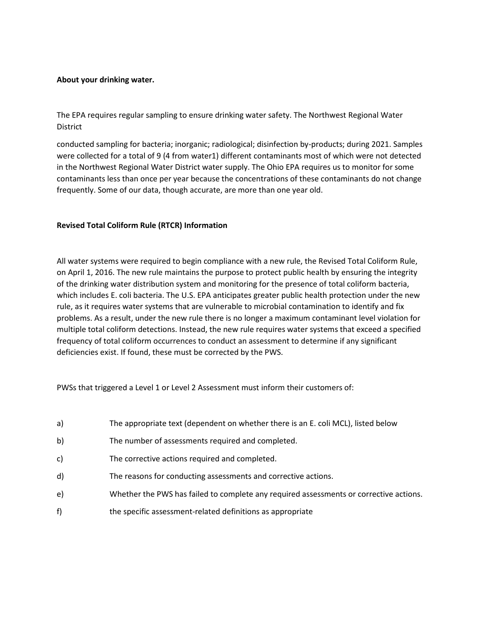# **About your drinking water.**

The EPA requires regular sampling to ensure drinking water safety. The Northwest Regional Water District

conducted sampling for bacteria; inorganic; radiological; disinfection by-products; during 2021. Samples were collected for a total of 9 (4 from water1) different contaminants most of which were not detected in the Northwest Regional Water District water supply. The Ohio EPA requires us to monitor for some contaminants less than once per year because the concentrations of these contaminants do not change frequently. Some of our data, though accurate, are more than one year old.

# **Revised Total Coliform Rule (RTCR) Information**

All water systems were required to begin compliance with a new rule, the Revised Total Coliform Rule, on April 1, 2016. The new rule maintains the purpose to protect public health by ensuring the integrity of the drinking water distribution system and monitoring for the presence of total coliform bacteria, which includes E. coli bacteria. The U.S. EPA anticipates greater public health protection under the new rule, as it requires water systems that are vulnerable to microbial contamination to identify and fix problems. As a result, under the new rule there is no longer a maximum contaminant level violation for multiple total coliform detections. Instead, the new rule requires water systems that exceed a specified frequency of total coliform occurrences to conduct an assessment to determine if any significant deficiencies exist. If found, these must be corrected by the PWS.

PWSs that triggered a Level 1 or Level 2 Assessment must inform their customers of:

- a) The appropriate text (dependent on whether there is an E. coli MCL), listed below
- b) The number of assessments required and completed.
- c) The corrective actions required and completed.
- d) The reasons for conducting assessments and corrective actions.
- e) Whether the PWS has failed to complete any required assessments or corrective actions.
- f) the specific assessment-related definitions as appropriate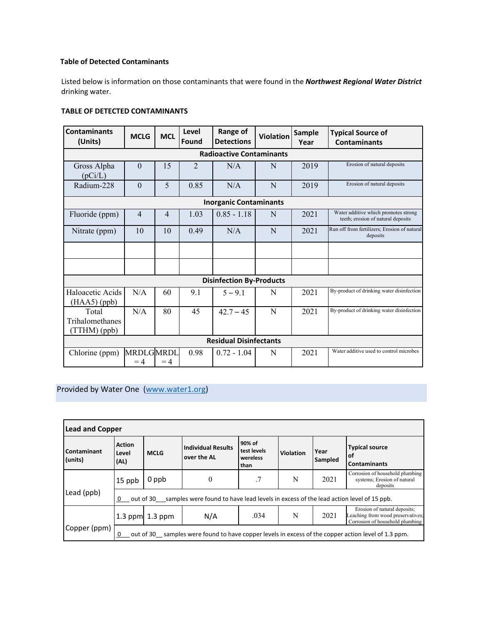# **Table of Detected Contaminants**

Listed below is information on those contaminants that were found in the *Northwest Regional Water District* drinking water.

# **TABLE OF DETECTED CONTAMINANTS**

| <b>Contaminants</b><br>(Units)     | <b>MCLG</b>       | <b>MCL</b>     | Level<br>Found | Range of<br><b>Detections</b> | <b>Violation</b> | <b>Sample</b><br>Year | <b>Typical Source of</b><br><b>Contaminants</b>                            |
|------------------------------------|-------------------|----------------|----------------|-------------------------------|------------------|-----------------------|----------------------------------------------------------------------------|
| <b>Radioactive Contaminants</b>    |                   |                |                |                               |                  |                       |                                                                            |
| Gross Alpha<br>(pCi/L)             | $\theta$          | 15             | $\overline{2}$ | N/A                           | N                | 2019                  | Erosion of natural deposits                                                |
| Radium-228                         | $\theta$          | 5              | 0.85           | N/A                           | N                | 2019                  | Erosion of natural deposits                                                |
| <b>Inorganic Contaminants</b>      |                   |                |                |                               |                  |                       |                                                                            |
| Fluoride (ppm)                     | $\overline{4}$    | $\overline{4}$ | 1.03           | $0.85 - 1.18$                 | N                | 2021                  | Water additive which promotes strong<br>teeth; erosion of natural deposits |
| Nitrate (ppm)                      | 10                | 10             | 0.49           | N/A                           | N                | 2021                  | Run off from fertilizers; Erosion of natural<br>deposits                   |
|                                    |                   |                |                |                               |                  |                       |                                                                            |
|                                    |                   |                |                |                               |                  |                       |                                                                            |
| <b>Disinfection By-Products</b>    |                   |                |                |                               |                  |                       |                                                                            |
| Haloacetic Acids<br>$(HAA5)$ (ppb) | N/A               | 60             | 9.1            | $5 - 9.1$                     | N                | 2021                  | By-product of drinking water disinfection                                  |
| Total                              | N/A               | 80             | 45             | $42.7 - 45$                   | N                | 2021                  | By-product of drinking water disinfection                                  |
| Trihalomethanes<br>(TTHM) (ppb)    |                   |                |                |                               |                  |                       |                                                                            |
| <b>Residual Disinfectants</b>      |                   |                |                |                               |                  |                       |                                                                            |
| Chlorine (ppm)                     | MRDLGMRDL<br>$=4$ | $=4$           | 0.98           | $0.72 - 1.04$                 | N                | 2021                  | Water additive used to control microbes                                    |

Provided by Water One [\(www.water1.org\)](http://www.water1.org/)

| <b>Lead and Copper</b>                                                                                            |                                                                                                          |                   |                                          |                                           |           |                 |                                                                                                      |  |
|-------------------------------------------------------------------------------------------------------------------|----------------------------------------------------------------------------------------------------------|-------------------|------------------------------------------|-------------------------------------------|-----------|-----------------|------------------------------------------------------------------------------------------------------|--|
| Contaminant<br>(units)                                                                                            | <b>Action</b><br>Level<br>(AL)                                                                           | <b>MCLG</b>       | <b>Individual Results</b><br>over the AL | 90% of<br>test levels<br>wereless<br>than | Violation | Year<br>Sampled | <b>Typical source</b><br><b>of</b><br><b>Contaminants</b>                                            |  |
|                                                                                                                   | 15 ppb                                                                                                   | 0 ppb             | $\theta$                                 | .7                                        | N         | 2021            | Corrosion of household plumbing<br>systems; Erosion of natural<br>deposits                           |  |
| Lead (ppb)<br>out of 30 samples were found to have lead levels in excess of the lead action level of 15 ppb.<br>0 |                                                                                                          |                   |                                          |                                           |           |                 |                                                                                                      |  |
|                                                                                                                   |                                                                                                          | 1.3 ppm $1.3$ ppm | N/A                                      | .034                                      | N         | 2021            | Erosion of natural deposits;<br>Leaching from wood preservatives;<br>Corrosion of household plumbing |  |
| Copper (ppm)                                                                                                      | out of 30 samples were found to have copper levels in excess of the copper action level of 1.3 ppm.<br>0 |                   |                                          |                                           |           |                 |                                                                                                      |  |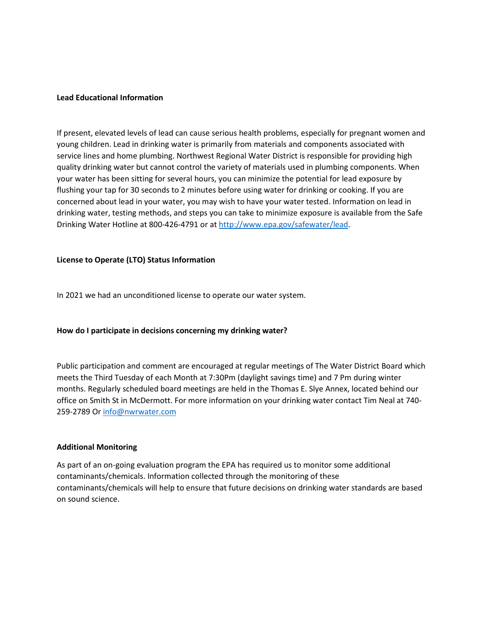### **Lead Educational Information**

If present, elevated levels of lead can cause serious health problems, especially for pregnant women and young children. Lead in drinking water is primarily from materials and components associated with service lines and home plumbing. Northwest Regional Water District is responsible for providing high quality drinking water but cannot control the variety of materials used in plumbing components. When your water has been sitting for several hours, you can minimize the potential for lead exposure by flushing your tap for 30 seconds to 2 minutes before using water for drinking or cooking. If you are concerned about lead in your water, you may wish to have your water tested. Information on lead in drinking water, testing methods, and steps you can take to minimize exposure is available from the Safe Drinking Water Hotline at 800-426-4791 or a[t http://www.epa.gov/safewater/lead.](http://www.epa.gov/safewater/lead)

### **License to Operate (LTO) Status Information**

In 2021 we had an unconditioned license to operate our water system.

#### **How do I participate in decisions concerning my drinking water?**

Public participation and comment are encouraged at regular meetings of The Water District Board which meets the Third Tuesday of each Month at 7:30Pm (daylight savings time) and 7 Pm during winter months. Regularly scheduled board meetings are held in the Thomas E. Slye Annex, located behind our office on Smith St in McDermott. For more information on your drinking water contact Tim Neal at 740- 259-2789 O[r info@nwrwater.com](mailto:info@nwrwater.com)

### **Additional Monitoring**

As part of an on-going evaluation program the EPA has required us to monitor some additional contaminants/chemicals. Information collected through the monitoring of these contaminants/chemicals will help to ensure that future decisions on drinking water standards are based on sound science.